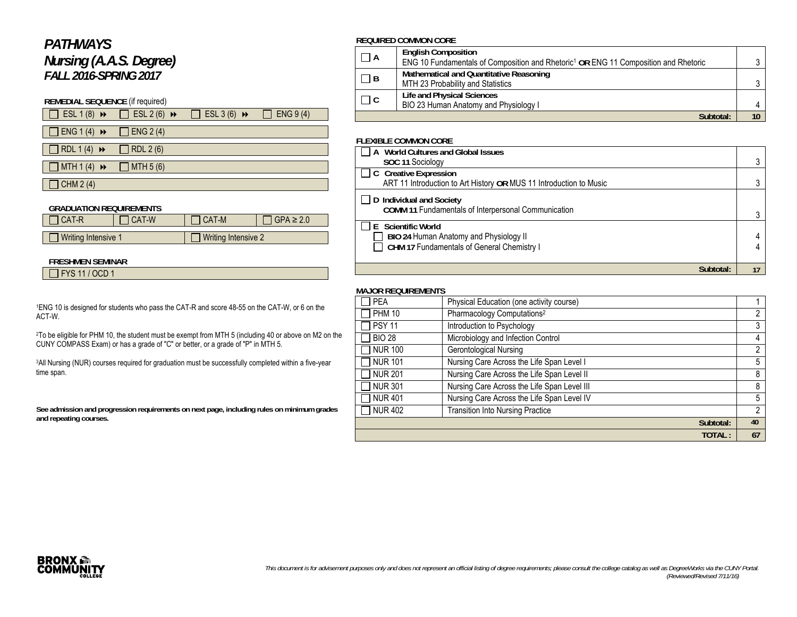# *PATHWAYS Nursing (A.A.S. Degree) FALL 2016-SPRING 2017*

## **REMEDIAL SEQUENCE** (if required)

| $\Box$ ESL 1 (8) $\rightarrow$ | $\text{ESL } 2(6)$ $\rightarrow$ | $\Box$ ESL 3 (6) $\rightarrow$ | ENG 9(4) |
|--------------------------------|----------------------------------|--------------------------------|----------|
|                                |                                  |                                |          |

 $\Box$  ENG 1 (4)  $\rightarrow$   $\Box$  ENG 2 (4)

 $\Box$  RDL 1 (4)  $\rightarrow$   $\Box$  RDL 2 (6)  $\Box$  MTH 1 (4)  $\leftrightarrow$   $\Box$  MTH 5 (6)

# $\Box$  CHM 2 (4)

| <b>GRADUATION REQUIREMENTS</b> |         |                            |                 |  |  |
|--------------------------------|---------|----------------------------|-----------------|--|--|
| 1 CAT-R                        | I CAT-W | 1 CAT-M                    | $CPEA \geq 2.0$ |  |  |
|                                |         |                            |                 |  |  |
| Writing Intensive 1            |         | $\Box$ Writing Intensive 2 |                 |  |  |

#### **FRESHMEN SEMINAR**

FYS 11 / OCD 1

1ENG 10 is designed for students who pass the CAT-R and score 48-55 on the CAT-W, or 6 on the ACT-W.

2To be eligible for PHM 10, the student must be exempt from MTH 5 (including 40 or above on M2 on the CUNY COMPASS Exam) or has a grade of "C" or better, or a grade of "P" in MTH 5.

3All Nursing (NUR) courses required for graduation must be successfully completed within a five-year time span.

**See admission and progression requirements on next page, including rules on minimum grades and repeating courses.** 

#### **REQUIRED COMMON CORE**

| $\Box$ A                    | <b>English Composition</b>                                                                      |  |
|-----------------------------|-------------------------------------------------------------------------------------------------|--|
|                             | ENG 10 Fundamentals of Composition and Rhetoric <sup>1</sup> OR ENG 11 Composition and Rhetoric |  |
|                             | Mathematical and Quantitative Reasoning                                                         |  |
| $ $ $ $ B                   | MTH 23 Probability and Statistics                                                               |  |
| $\Box$ $\Box$ $\Box$ $\Box$ | Life and Physical Sciences                                                                      |  |
|                             | BIO 23 Human Anatomy and Physiology I                                                           |  |
|                             | Subtotal:                                                                                       |  |

#### **FLEXIBLE COMMON CORE**

| A World Cultures and Global Issues                                                            |    |
|-----------------------------------------------------------------------------------------------|----|
| SOC 11 Sociology                                                                              |    |
| □ C Creative Expression<br>ART 11 Introduction to Art History OR MUS 11 Introduction to Music |    |
|                                                                                               |    |
| D Individual and Society                                                                      |    |
| <b>COMM 11 Fundamentals of Interpersonal Communication</b>                                    |    |
| E Scientific World                                                                            |    |
| BIO 24 Human Anatomy and Physiology II                                                        |    |
| CHM 17 Fundamentals of General Chemistry I                                                    |    |
|                                                                                               |    |
| Subtotal:                                                                                     | 17 |

#### **MAJOR REQUIREMENTS**

| <b>PEA</b>     | Physical Education (one activity course)    |    |
|----------------|---------------------------------------------|----|
| <b>PHM 10</b>  | Pharmacology Computations <sup>2</sup>      | 2  |
| <b>PSY 11</b>  | Introduction to Psychology                  | 3  |
| <b>BIO 28</b>  | Microbiology and Infection Control          | 4  |
| <b>NUR 100</b> | Gerontological Nursing                      | 2  |
| <b>NUR 101</b> | Nursing Care Across the Life Span Level I   | 5  |
| <b>NUR 201</b> | Nursing Care Across the Life Span Level II  | 8  |
| <b>NUR 301</b> | Nursing Care Across the Life Span Level III | 8  |
| <b>NUR401</b>  | Nursing Care Across the Life Span Level IV  | 5  |
| <b>NUR 402</b> | <b>Transition Into Nursing Practice</b>     | 2  |
|                | Subtotal:                                   | 40 |
|                | TOTAL:                                      | 67 |